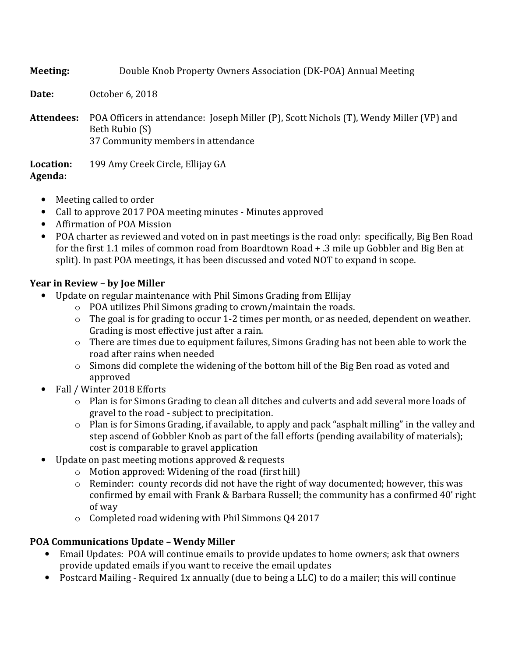**Meeting:** Double Knob Property Owners Association (DK-POA) Annual Meeting **Date:** October 6, 2018 **Attendees:** POA Officers in attendance: Joseph Miller (P), Scott Nichols (T), Wendy Miller (VP) and Beth Rubio (S) 37 Community members in attendance **Location:** 199 Amy Creek Circle, Ellijay GA **Agenda:**

- Meeting called to order
- Call to approve 2017 POA meeting minutes Minutes approved
- Affirmation of POA Mission
- POA charter as reviewed and voted on in past meetings is the road only: specifically, Big Ben Road for the first 1.1 miles of common road from Boardtown Road + .3 mile up Gobbler and Big Ben at split). In past POA meetings, it has been discussed and voted NOT to expand in scope.

## **Year in Review – by Joe Miller**

- Update on regular maintenance with Phil Simons Grading from Ellijay
	- o POA utilizes Phil Simons grading to crown/maintain the roads.
	- $\circ$  The goal is for grading to occur 1-2 times per month, or as needed, dependent on weather. Grading is most effective just after a rain.
	- o There are times due to equipment failures, Simons Grading has not been able to work the road after rains when needed
	- o Simons did complete the widening of the bottom hill of the Big Ben road as voted and approved
- Fall / Winter 2018 Efforts
	- o Plan is for Simons Grading to clean all ditches and culverts and add several more loads of gravel to the road - subject to precipitation.
	- o Plan is for Simons Grading, if available, to apply and pack "asphalt milling" in the valley and step ascend of Gobbler Knob as part of the fall efforts (pending availability of materials); cost is comparable to gravel application
- Update on past meeting motions approved & requests
	- o Motion approved: Widening of the road (first hill)
	- o Reminder: county records did not have the right of way documented; however, this was confirmed by email with Frank & Barbara Russell; the community has a confirmed 40' right of way
	- o Completed road widening with Phil Simmons Q4 2017

# **POA Communications Update – Wendy Miller**

- Email Updates: POA will continue emails to provide updates to home owners; ask that owners provide updated emails if you want to receive the email updates
- Postcard Mailing Required 1x annually (due to being a LLC) to do a mailer; this will continue